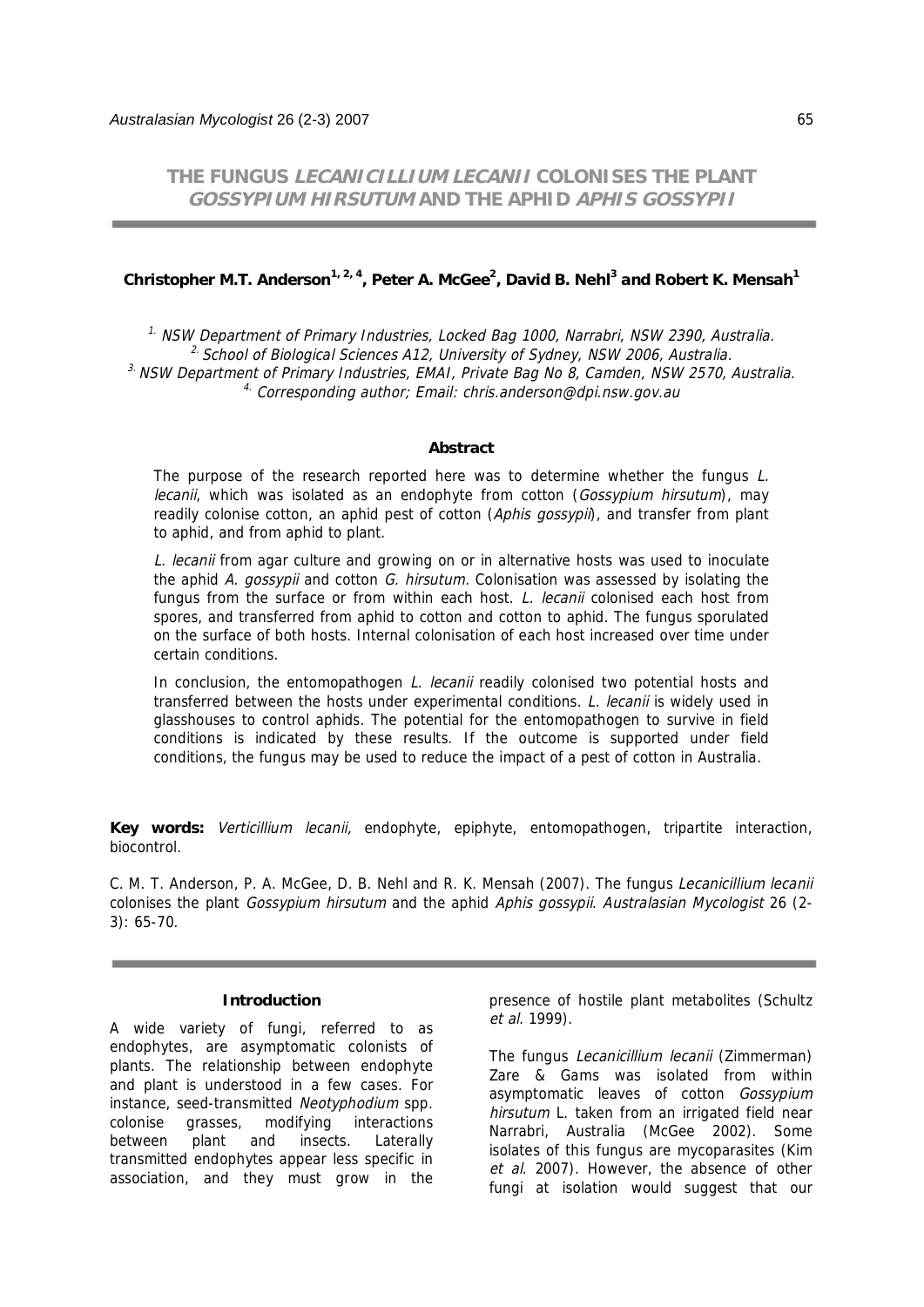**THE FUNGUS LECANICILLIUM LECANII COLONISES THE PLANT GOSSYPIUM HIRSUTUM AND THE APHID APHIS GOSSYPII**

### **Christopher M.T. Anderson1, 2, 4, Peter A. McGee2 , David B. Nehl3 and Robert K. Mensah1**

 $1.$  NSW Department of Primary Industries, Locked Bag 1000, Narrabri, NSW 2390, Australia.  $2$  School of Biological Sciences A12, University of Sydney, NSW 2006, Australia.  $3.$  NSW Department of Primary Industries, EMAI, Private Bag No 8, Camden, NSW 2570, Australia. 4. Corresponding author; Email: chris.anderson@dpi.nsw.gov.au

#### **Abstract**

The purpose of the research reported here was to determine whether the fungus  $L$ . lecanii, which was isolated as an endophyte from cotton (Gossypium hirsutum), may readily colonise cotton, an aphid pest of cotton (Aphis gossypii), and transfer from plant to aphid, and from aphid to plant.

L. lecanii from agar culture and growing on or in alternative hosts was used to inoculate the aphid A. *gossypii* and cotton G. hirsutum. Colonisation was assessed by isolating the fungus from the surface or from within each host. L. lecanii colonised each host from spores, and transferred from aphid to cotton and cotton to aphid. The fungus sporulated on the surface of both hosts. Internal colonisation of each host increased over time under certain conditions.

In conclusion, the entomopathogen L. lecanii readily colonised two potential hosts and transferred between the hosts under experimental conditions. L. lecanii is widely used in glasshouses to control aphids. The potential for the entomopathogen to survive in field conditions is indicated by these results. If the outcome is supported under field conditions, the fungus may be used to reduce the impact of a pest of cotton in Australia.

**Key words:** Verticillium lecanii, endophyte, epiphyte, entomopathogen, tripartite interaction, biocontrol.

C. M. T. Anderson, P. A. McGee, D. B. Nehl and R. K. Mensah (2007). The fungus Lecanicillium lecanii colonises the plant Gossypium hirsutum and the aphid Aphis gossypii. Australasian Mycologist 26 (2-3): 65-70.

#### **Introduction**

A wide variety of fungi, referred to as endophytes, are asymptomatic colonists of plants. The relationship between endophyte and plant is understood in a few cases. For instance, seed-transmitted Neotyphodium spp. colonise grasses, modifying interactions between plant and insects. Laterally transmitted endophytes appear less specific in association, and they must grow in the presence of hostile plant metabolites (Schultz et al. 1999).

The fungus Lecanicillium lecanii (Zimmerman) Zare & Gams was isolated from within asymptomatic leaves of cotton Gossypium hirsutum L. taken from an irrigated field near Narrabri, Australia (McGee 2002). Some isolates of this fungus are mycoparasites (Kim et al. 2007). However, the absence of other fungi at isolation would suggest that our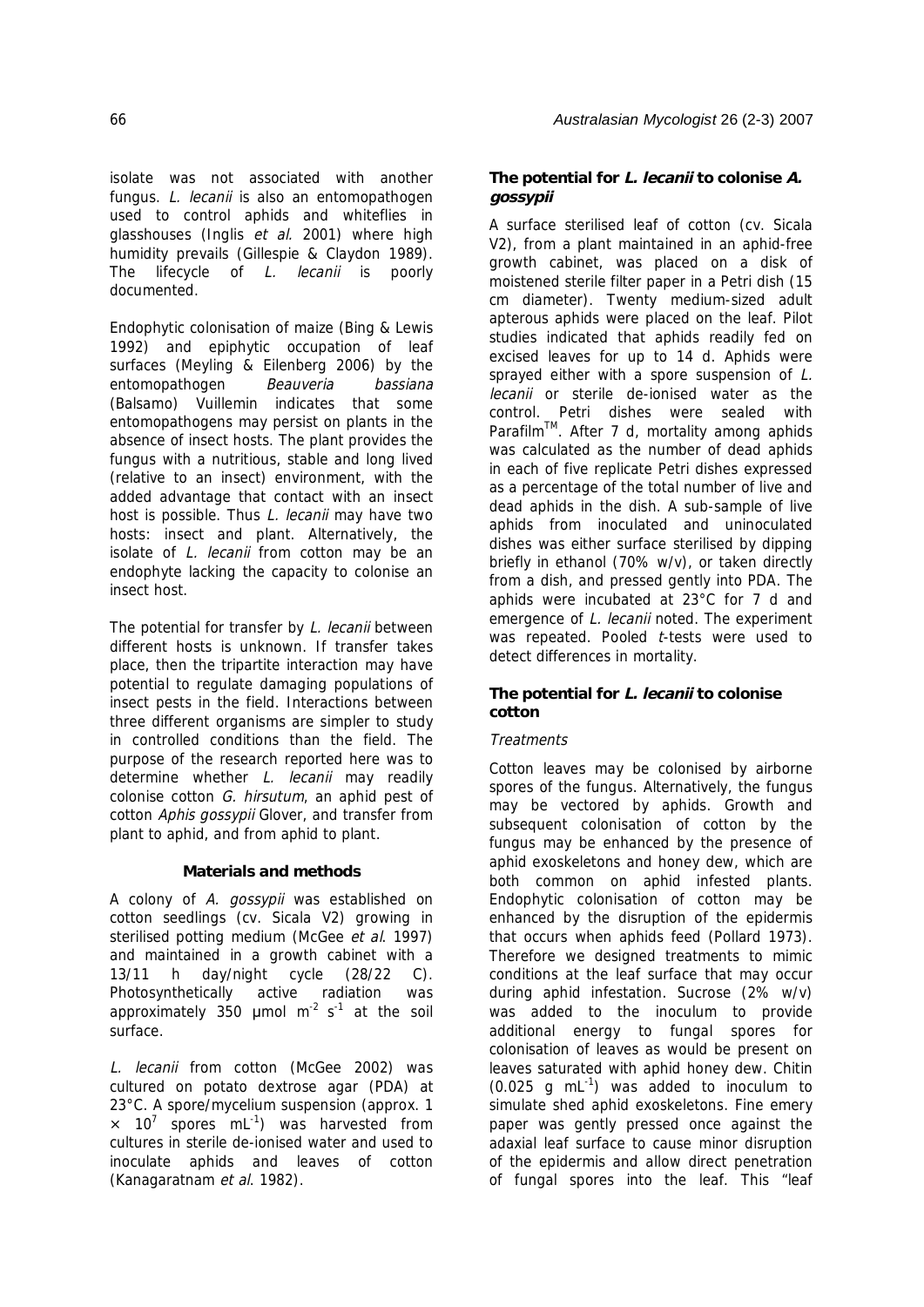isolate was not associated with another fungus. L. lecanii is also an entomopathogen used to control aphids and whiteflies in glasshouses (Inglis et al. 2001) where high humidity prevails (Gillespie & Claydon 1989). The lifecycle of *L. lecanii* is poorly documented.

Endophytic colonisation of maize (Bing & Lewis 1992) and epiphytic occupation of leaf surfaces (Meyling & Eilenberg 2006) by the entomopathogen Beauveria bassiana (Balsamo) Vuillemin indicates that some entomopathogens may persist on plants in the absence of insect hosts. The plant provides the fungus with a nutritious, stable and long lived (relative to an insect) environment, with the added advantage that contact with an insect host is possible. Thus L. lecanii may have two hosts: insect and plant. Alternatively, the isolate of L. lecanii from cotton may be an endophyte lacking the capacity to colonise an insect host.

The potential for transfer by L. lecanii between different hosts is unknown. If transfer takes place, then the tripartite interaction may have potential to regulate damaging populations of insect pests in the field. Interactions between three different organisms are simpler to study in controlled conditions than the field. The purpose of the research reported here was to determine whether *L. lecanii* may readily colonise cotton G. hirsutum, an aphid pest of cotton Aphis gossypii Glover, and transfer from plant to aphid, and from aphid to plant.

## **Materials and methods**

A colony of A. gossypii was established on cotton seedlings (cv. Sicala V2) growing in sterilised potting medium (McGee et al. 1997) and maintained in a growth cabinet with a 13/11 h day/night cycle (28/22 C). Photosynthetically active radiation was approximately 350  $\mu$ mol m<sup>-2</sup> s<sup>-1</sup> at the soil surface.

L. lecanii from cotton (McGee 2002) was cultured on potato dextrose agar (PDA) at 23°C. A spore/mycelium suspension (approx. 1  $\times$  10<sup>7</sup> spores mL<sup>-1</sup>) was harvested from cultures in sterile de-ionised water and used to inoculate aphids and leaves of cotton (Kanagaratnam et al. 1982).

# **The potential for L. lecanii to colonise A. gossypii**

A surface sterilised leaf of cotton (cv. Sicala V2), from a plant maintained in an aphid-free growth cabinet, was placed on a disk of moistened sterile filter paper in a Petri dish (15 cm diameter). Twenty medium-sized adult apterous aphids were placed on the leaf. Pilot studies indicated that aphids readily fed on excised leaves for up to 14 d. Aphids were sprayed either with a spore suspension of L. lecanii or sterile de-ionised water as the control. Petri dishes were sealed with Parafilm™. After 7 d, mortality among aphids was calculated as the number of dead aphids in each of five replicate Petri dishes expressed as a percentage of the total number of live and dead aphids in the dish. A sub-sample of live aphids from inoculated and uninoculated dishes was either surface sterilised by dipping briefly in ethanol (70% w/v), or taken directly from a dish, and pressed gently into PDA. The aphids were incubated at 23°C for 7 d and emergence of L. lecanii noted. The experiment was repeated. Pooled *t*-tests were used to detect differences in mortality.

# **The potential for L. lecanii to colonise cotton**

# **Treatments**

Cotton leaves may be colonised by airborne spores of the fungus. Alternatively, the fungus may be vectored by aphids. Growth and subsequent colonisation of cotton by the fungus may be enhanced by the presence of aphid exoskeletons and honey dew, which are both common on aphid infested plants. Endophytic colonisation of cotton may be enhanced by the disruption of the epidermis that occurs when aphids feed (Pollard 1973). Therefore we designed treatments to mimic conditions at the leaf surface that may occur during aphid infestation. Sucrose (2% w/v) was added to the inoculum to provide additional energy to fungal spores for colonisation of leaves as would be present on leaves saturated with aphid honey dew. Chitin  $(0.025$  g mL<sup>-1</sup>) was added to inoculum to simulate shed aphid exoskeletons. Fine emery paper was gently pressed once against the adaxial leaf surface to cause minor disruption of the epidermis and allow direct penetration of fungal spores into the leaf. This "leaf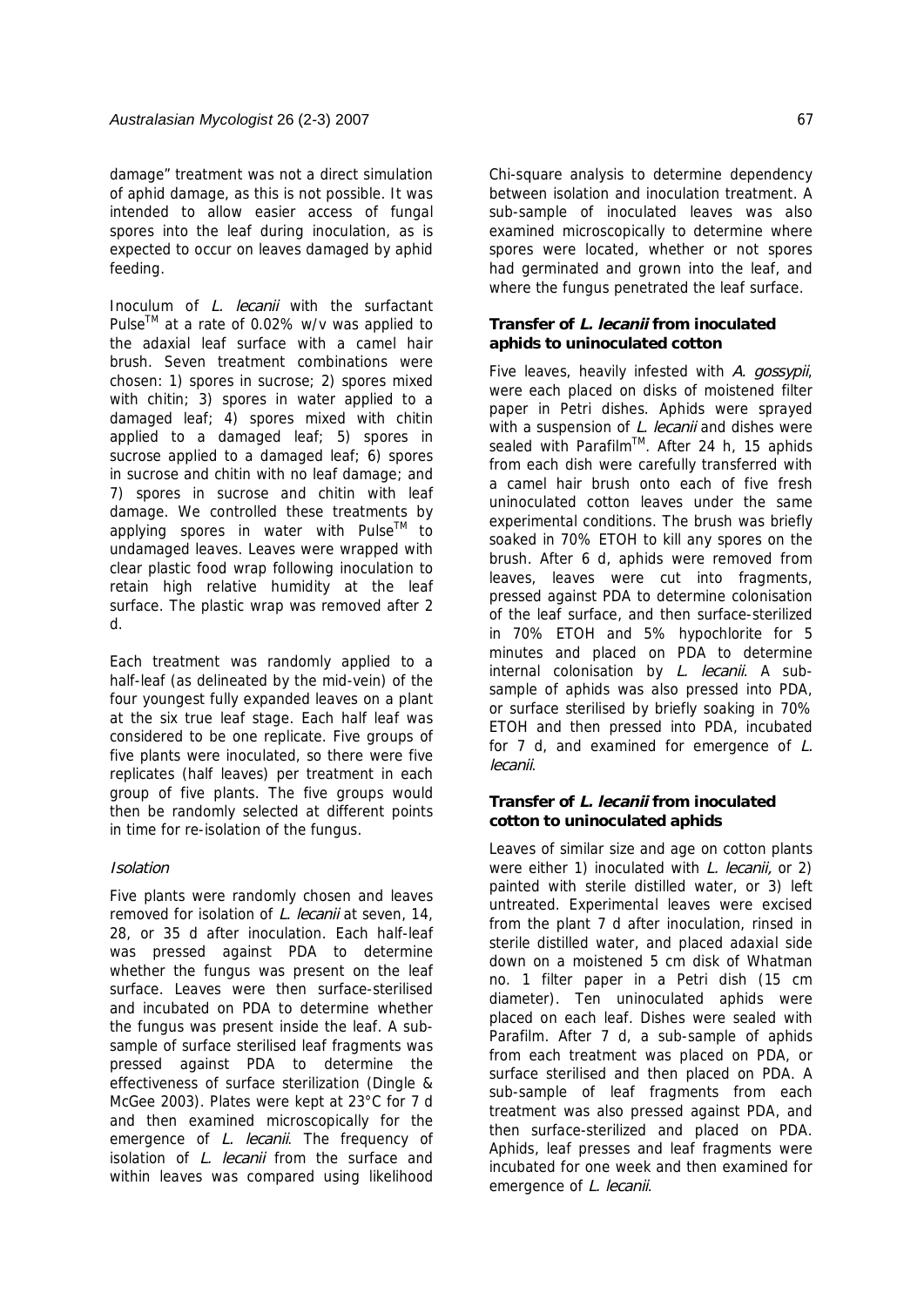damage" treatment was not a direct simulation of aphid damage, as this is not possible. It was intended to allow easier access of fungal spores into the leaf during inoculation, as is expected to occur on leaves damaged by aphid feeding.

Inoculum of L. lecanii with the surfactant Pulse<sup>™</sup> at a rate of 0.02% w/v was applied to the adaxial leaf surface with a camel hair brush. Seven treatment combinations were chosen: 1) spores in sucrose; 2) spores mixed with chitin; 3) spores in water applied to a damaged leaf; 4) spores mixed with chitin applied to a damaged leaf; 5) spores in sucrose applied to a damaged leaf; 6) spores in sucrose and chitin with no leaf damage; and 7) spores in sucrose and chitin with leaf damage. We controlled these treatments by applying spores in water with Pulse™ to undamaged leaves. Leaves were wrapped with clear plastic food wrap following inoculation to retain high relative humidity at the leaf surface. The plastic wrap was removed after 2 d.

Each treatment was randomly applied to a half-leaf (as delineated by the mid-vein) of the four youngest fully expanded leaves on a plant at the six true leaf stage. Each half leaf was considered to be one replicate. Five groups of five plants were inoculated, so there were five replicates (half leaves) per treatment in each group of five plants. The five groups would then be randomly selected at different points in time for re-isolation of the fungus.

### Isolation

Five plants were randomly chosen and leaves removed for isolation of L. lecanii at seven, 14, 28, or 35 d after inoculation. Each half-leaf was pressed against PDA to determine whether the fungus was present on the leaf surface. Leaves were then surface-sterilised and incubated on PDA to determine whether the fungus was present inside the leaf. A subsample of surface sterilised leaf fragments was pressed against PDA to determine the effectiveness of surface sterilization (Dingle & McGee 2003). Plates were kept at 23°C for 7 d and then examined microscopically for the emergence of *L. lecanii*. The frequency of isolation of L. lecanii from the surface and within leaves was compared using likelihood

Chi-square analysis to determine dependency between isolation and inoculation treatment. A sub-sample of inoculated leaves was also examined microscopically to determine where spores were located, whether or not spores had germinated and grown into the leaf, and where the fungus penetrated the leaf surface.

## **Transfer of L. lecanii from inoculated aphids to uninoculated cotton**

Five leaves, heavily infested with A. gossypii, were each placed on disks of moistened filter paper in Petri dishes. Aphids were sprayed with a suspension of L. lecanii and dishes were sealed with Parafilm<sup>TM</sup>. After 24 h, 15 aphids from each dish were carefully transferred with a camel hair brush onto each of five fresh uninoculated cotton leaves under the same experimental conditions. The brush was briefly soaked in 70% ETOH to kill any spores on the brush. After 6 d, aphids were removed from leaves, leaves were cut into fragments, pressed against PDA to determine colonisation of the leaf surface, and then surface-sterilized in 70% ETOH and 5% hypochlorite for 5 minutes and placed on PDA to determine internal colonisation by *L. lecanii*. A subsample of aphids was also pressed into PDA, or surface sterilised by briefly soaking in 70% ETOH and then pressed into PDA, incubated for  $7$  d, and examined for emergence of  $L$ . lecanii.

### **Transfer of L. lecanii from inoculated cotton to uninoculated aphids**

Leaves of similar size and age on cotton plants were either 1) inoculated with L. lecanii, or 2) painted with sterile distilled water, or 3) left untreated. Experimental leaves were excised from the plant 7 d after inoculation, rinsed in sterile distilled water, and placed adaxial side down on a moistened 5 cm disk of Whatman no. 1 filter paper in a Petri dish (15 cm diameter). Ten uninoculated aphids were placed on each leaf. Dishes were sealed with Parafilm. After 7 d, a sub-sample of aphids from each treatment was placed on PDA, or surface sterilised and then placed on PDA. A sub-sample of leaf fragments from each treatment was also pressed against PDA, and then surface-sterilized and placed on PDA. Aphids, leaf presses and leaf fragments were incubated for one week and then examined for emergence of L. lecanii.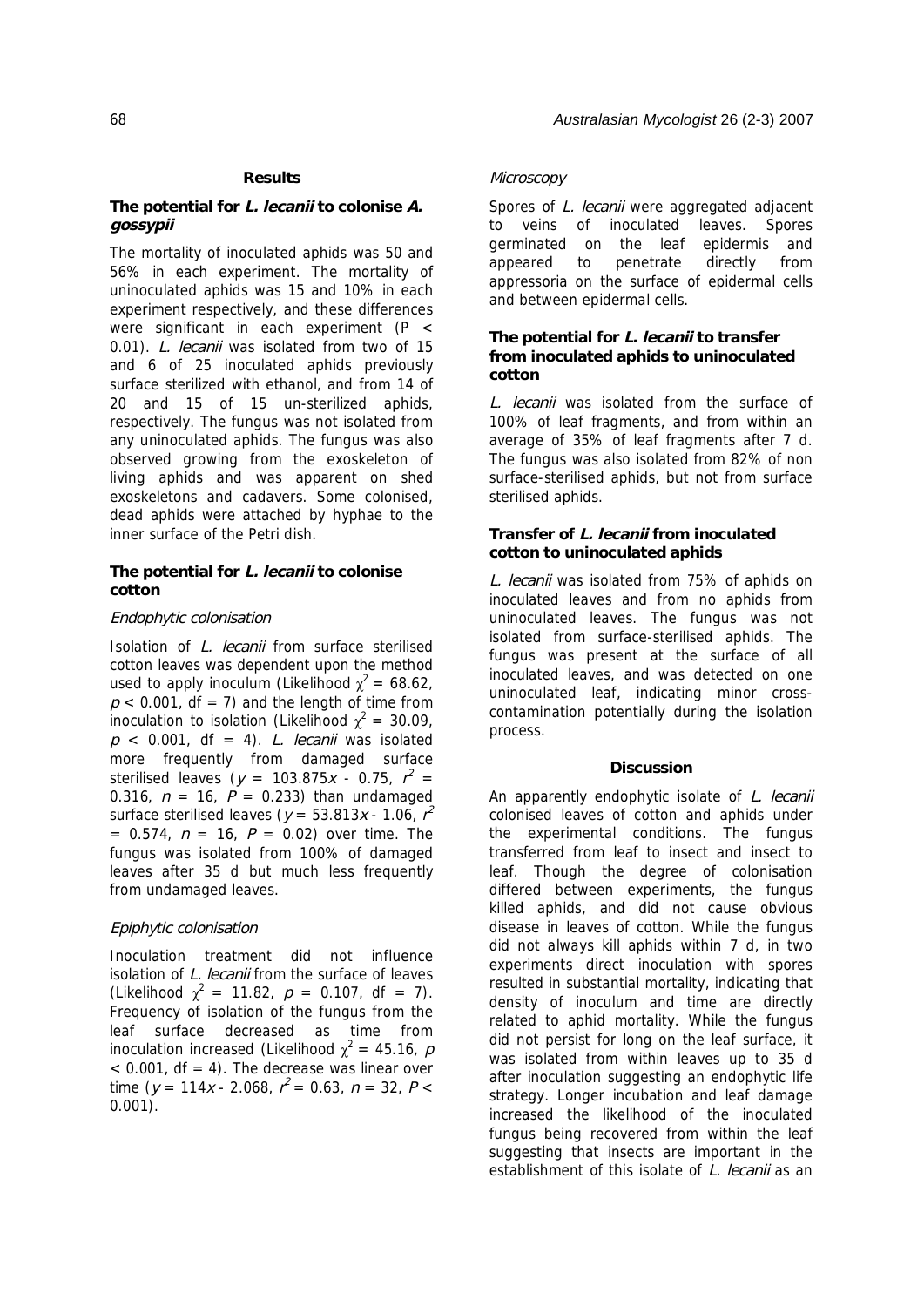#### **Results**

### **The potential for L. lecanii to colonise A. gossypii**

The mortality of inoculated aphids was 50 and 56% in each experiment. The mortality of uninoculated aphids was 15 and 10% in each experiment respectively, and these differences were significant in each experiment (P < 0.01). L. lecanii was isolated from two of 15 and 6 of 25 inoculated aphids previously surface sterilized with ethanol, and from 14 of 20 and 15 of 15 un-sterilized aphids, respectively. The fungus was not isolated from any uninoculated aphids. The fungus was also observed growing from the exoskeleton of living aphids and was apparent on shed exoskeletons and cadavers. Some colonised, dead aphids were attached by hyphae to the inner surface of the Petri dish.

# **The potential for L. lecanii to colonise cotton**

### Endophytic colonisation

Isolation of L. lecanii from surface sterilised cotton leaves was dependent upon the method used to apply inoculum (Likelihood  $\chi^2 = 68.62$ ,  $p < 0.001$ , df = 7) and the length of time from inoculation to isolation (Likelihood  $\chi^2 = 30.09$ ,  $p \le 0.001$ , df = 4). L. lecanii was isolated more frequently from damaged surface sterilised leaves ( $y = 103.875x - 0.75$ ,  $r^2 =$ 0.316,  $n = 16$ ,  $P = 0.233$ ) than undamaged surface sterilised leaves ( $y = 53.813x - 1.06$ ,  $r^2$  $= 0.574$ ,  $n = 16$ ,  $P = 0.02$ ) over time. The fungus was isolated from 100% of damaged leaves after 35 d but much less frequently from undamaged leaves.

### Epiphytic colonisation

Inoculation treatment did not influence isolation of L. lecanii from the surface of leaves (Likelihood  $\chi^2 = 11.82$ ,  $p = 0.107$ , df = 7). Frequency of isolation of the fungus from the leaf surface decreased as time from inoculation increased (Likelihood  $\chi^2 = 45.16$ ,  $p$  $<$  0.001, df = 4). The decrease was linear over time ( $y = 114x - 2.068$ ,  $r^2 = 0.63$ ,  $n = 32$ ,  $P <$ 0.001).

### **Microscopy**

Spores of L. lecanii were aggregated adjacent to veins of inoculated leaves. Spores germinated on the leaf epidermis and appeared to penetrate directly from appressoria on the surface of epidermal cells and between epidermal cells.

### **The potential for L. lecanii to transfer from inoculated aphids to uninoculated cotton**

L. lecanii was isolated from the surface of 100% of leaf fragments, and from within an average of 35% of leaf fragments after 7 d. The fungus was also isolated from 82% of non surface-sterilised aphids, but not from surface sterilised aphids.

### **Transfer of L. lecanii from inoculated cotton to uninoculated aphids**

L. lecanii was isolated from 75% of aphids on inoculated leaves and from no aphids from uninoculated leaves. The fungus was not isolated from surface-sterilised aphids. The fungus was present at the surface of all inoculated leaves, and was detected on one uninoculated leaf, indicating minor crosscontamination potentially during the isolation process.

### **Discussion**

An apparently endophytic isolate of L. lecanii colonised leaves of cotton and aphids under the experimental conditions. The fungus transferred from leaf to insect and insect to leaf. Though the degree of colonisation differed between experiments, the fungus killed aphids, and did not cause obvious disease in leaves of cotton. While the fungus did not always kill aphids within 7 d, in two experiments direct inoculation with spores resulted in substantial mortality, indicating that density of inoculum and time are directly related to aphid mortality. While the fungus did not persist for long on the leaf surface, it was isolated from within leaves up to 35 d after inoculation suggesting an endophytic life strategy. Longer incubation and leaf damage increased the likelihood of the inoculated fungus being recovered from within the leaf suggesting that insects are important in the establishment of this isolate of L. lecanii as an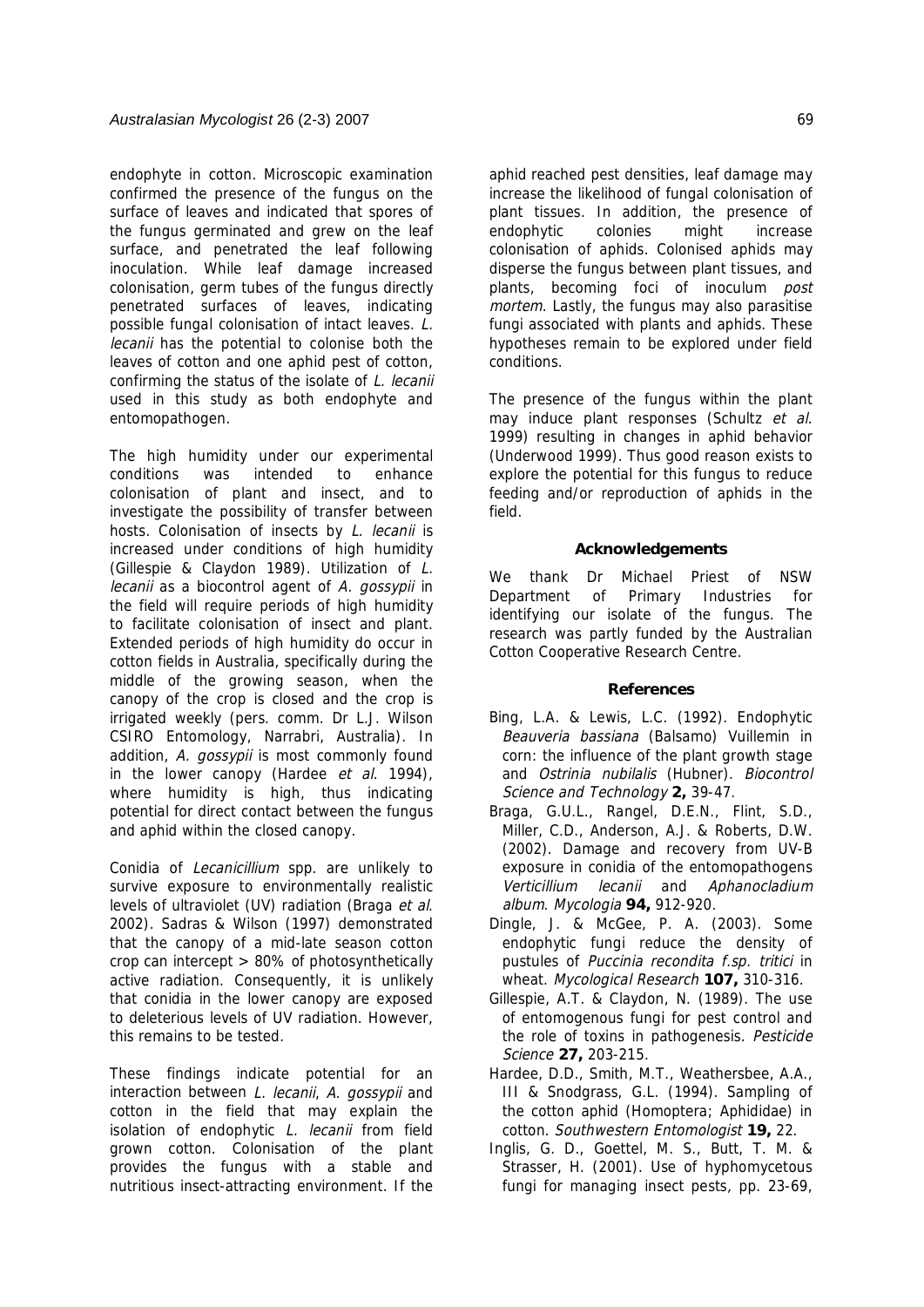endophyte in cotton. Microscopic examination confirmed the presence of the fungus on the surface of leaves and indicated that spores of the fungus germinated and grew on the leaf surface, and penetrated the leaf following inoculation. While leaf damage increased colonisation, germ tubes of the fungus directly penetrated surfaces of leaves, indicating possible fungal colonisation of intact leaves. L. lecanii has the potential to colonise both the leaves of cotton and one aphid pest of cotton, confirming the status of the isolate of L. lecanii used in this study as both endophyte and entomopathogen.

The high humidity under our experimental conditions was intended to enhance colonisation of plant and insect, and to investigate the possibility of transfer between hosts. Colonisation of insects by L. lecanii is increased under conditions of high humidity (Gillespie & Claydon 1989). Utilization of L. lecanii as a biocontrol agent of A. gossypii in the field will require periods of high humidity to facilitate colonisation of insect and plant. Extended periods of high humidity do occur in cotton fields in Australia, specifically during the middle of the growing season, when the canopy of the crop is closed and the crop is irrigated weekly (pers. comm. Dr L.J. Wilson CSIRO Entomology, Narrabri, Australia). In addition, A. gossypii is most commonly found in the lower canopy (Hardee et al. 1994), where humidity is high, thus indicating potential for direct contact between the fungus and aphid within the closed canopy.

Conidia of Lecanicillium spp. are unlikely to survive exposure to environmentally realistic levels of ultraviolet (UV) radiation (Braga et al. 2002). Sadras & Wilson (1997) demonstrated that the canopy of a mid-late season cotton crop can intercept > 80% of photosynthetically active radiation. Consequently, it is unlikely that conidia in the lower canopy are exposed to deleterious levels of UV radiation. However, this remains to be tested.

These findings indicate potential for an interaction between L. lecanii, A. gossypii and cotton in the field that may explain the isolation of endophytic L. lecanii from field grown cotton. Colonisation of the plant provides the fungus with a stable and nutritious insect-attracting environment. If the

aphid reached pest densities, leaf damage may increase the likelihood of fungal colonisation of plant tissues. In addition, the presence of endophytic colonies might increase colonisation of aphids. Colonised aphids may disperse the fungus between plant tissues, and plants, becoming foci of inoculum post mortem. Lastly, the fungus may also parasitise fungi associated with plants and aphids. These hypotheses remain to be explored under field conditions.

The presence of the fungus within the plant may induce plant responses (Schultz et al. 1999) resulting in changes in aphid behavior (Underwood 1999). Thus good reason exists to explore the potential for this fungus to reduce feeding and/or reproduction of aphids in the field.

#### **Acknowledgements**

We thank Dr Michael Priest of NSW Department of Primary Industries for identifying our isolate of the fungus. The research was partly funded by the Australian Cotton Cooperative Research Centre.

#### **References**

- Bing, L.A. & Lewis, L.C. (1992). Endophytic Beauveria bassiana (Balsamo) Vuillemin in corn: the influence of the plant growth stage and Ostrinia nubilalis (Hubner). Biocontrol Science and Technology **2,** 39-47.
- Braga, G.U.L., Rangel, D.E.N., Flint, S.D., Miller, C.D., Anderson, A.J. & Roberts, D.W. (2002). Damage and recovery from UV-B exposure in conidia of the entomopathogens Verticillium lecanii and Aphanocladium album. Mycologia **94,** 912-920.
- Dingle, J. & McGee, P. A. (2003). Some endophytic fungi reduce the density of pustules of Puccinia recondita f.sp. tritici in wheat. Mycological Research **107,** 310-316.
- Gillespie, A.T. & Claydon, N. (1989). The use of entomogenous fungi for pest control and the role of toxins in pathogenesis. Pesticide Science **27,** 203-215.
- Hardee, D.D., Smith, M.T., Weathersbee, A.A., III & Snodgrass, G.L. (1994). Sampling of the cotton aphid (Homoptera; Aphididae) in cotton. Southwestern Entomologist **19,** 22.
- Inglis, G. D., Goettel, M. S., Butt, T. M. & Strasser, H. (2001). Use of hyphomycetous fungi for managing insect pests, pp. 23-69,